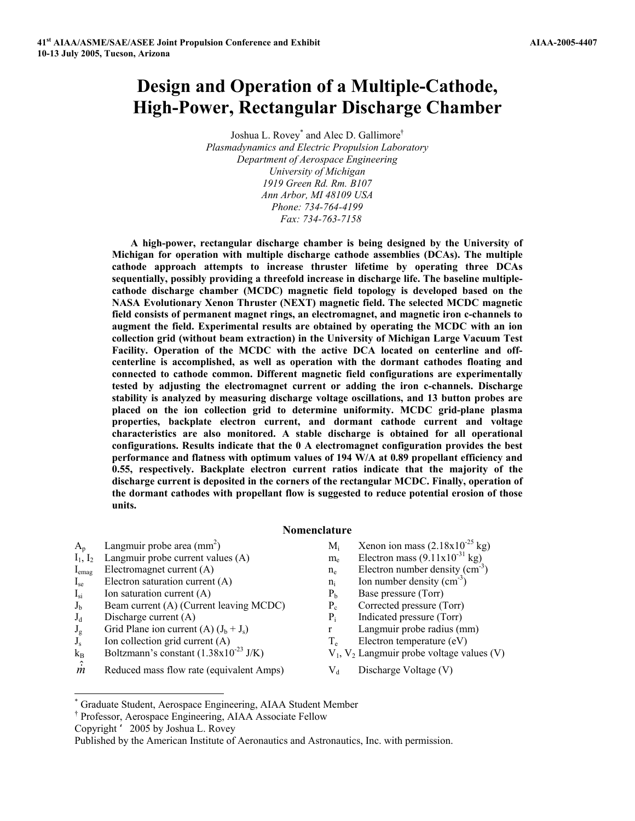# **Design and Operation of a Multiple-Cathode, High-Power, Rectangular Discharge Chamber**

Joshua L. Rovey\* and Alec D. Gallimore† *Plasmadynamics and Electric Propulsion Laboratory Department of Aerospace Engineering University of Michigan 1919 Green Rd. Rm. B107 Ann Arbor, MI 48109 USA Phone: 734-764-4199 Fax: 734-763-7158* 

**A high-power, rectangular discharge chamber is being designed by the University of Michigan for operation with multiple discharge cathode assemblies (DCAs). The multiple cathode approach attempts to increase thruster lifetime by operating three DCAs sequentially, possibly providing a threefold increase in discharge life. The baseline multiplecathode discharge chamber (MCDC) magnetic field topology is developed based on the NASA Evolutionary Xenon Thruster (NEXT) magnetic field. The selected MCDC magnetic field consists of permanent magnet rings, an electromagnet, and magnetic iron c-channels to augment the field. Experimental results are obtained by operating the MCDC with an ion collection grid (without beam extraction) in the University of Michigan Large Vacuum Test Facility. Operation of the MCDC with the active DCA located on centerline and offcenterline is accomplished, as well as operation with the dormant cathodes floating and connected to cathode common. Different magnetic field configurations are experimentally tested by adjusting the electromagnet current or adding the iron c-channels. Discharge stability is analyzed by measuring discharge voltage oscillations, and 13 button probes are placed on the ion collection grid to determine uniformity. MCDC grid-plane plasma properties, backplate electron current, and dormant cathode current and voltage characteristics are also monitored. A stable discharge is obtained for all operational configurations. Results indicate that the 0 A electromagnet configuration provides the best performance and flatness with optimum values of 194 W/A at 0.89 propellant efficiency and 0.55, respectively. Backplate electron current ratios indicate that the majority of the discharge current is deposited in the corners of the rectangular MCDC. Finally, operation of the dormant cathodes with propellant flow is suggested to reduce potential erosion of those units.** 

# **Nomenclature**

- $A_p$  Langmuir probe area (mm<sup>2</sup>)
- $I_1, I_2$  Langmuir probe current values (A) m<sub>e</sub> Electromagnet current (A) h<sub>e</sub> n<sub>e</sub>
- 
- $I_{se}$  Electron saturation current (A)  $n_i$
- 
- $I_{si}$  Ion saturation current (A)  $P_b$  Base pressure (Torr)<br>  $I_b$  Beam current (A) (Current leaving MCDC)  $P_c$  Corrected pressure (Torr)  $J_b$  Beam current (A) (Current leaving MCDC)  $P_c$ <br>  $J_d$  Discharge current (A)  $P_i$
- 

-

- $J_g$  Grid Plane ion current (A)  $(J_b + J_s)$  r Langmuir probe radius (mm)<br>  $J_s$  lon collection grid current (A)  $T_e$  Electron temperature (eV)
- 
- $J_s$  Ion collection grid current (A)<br>  $k_B$  Boltzmann's constant (1.38x10<sup>-23</sup> J/K)  $k_B$  Boltzmann's constant (1.38x10<sup>-23</sup> J/K)  $V_1$ ,  $V_2$  Langmuir probe voltage values (V)
- $\dot{m}$  Reduced mass flow rate (equivalent Amps)  $V_d$  Discharge Voltage (V)
- $M_i$  Xenon ion mass (2.18x10<sup>-25</sup> kg)<br>m<sub>e</sub> Electron mass (9.11x10<sup>-31</sup> kg)
- 
- $I_{\text{emag}}$  Electromagnet current (A)  $n_e$  Electron number density (cm<sup>-3</sup>)<br>  $I_{\text{se}}$  Electron saturation current (A)  $n_i$  Ion number density (cm<sup>-3</sup>)
	-
	-
	-
- $J_d$  Discharge current (A)  $P_i$  Indicated pressure (Torr)
	-
	-
	-
	-

Copyright ' 2005 by Joshua L. Rovey

<sup>\*</sup> Graduate Student, Aerospace Engineering, AIAA Student Member

<sup>†</sup> Professor, Aerospace Engineering, AIAA Associate Fellow

Published by the American Institute of Aeronautics and Astronautics, Inc. with permission.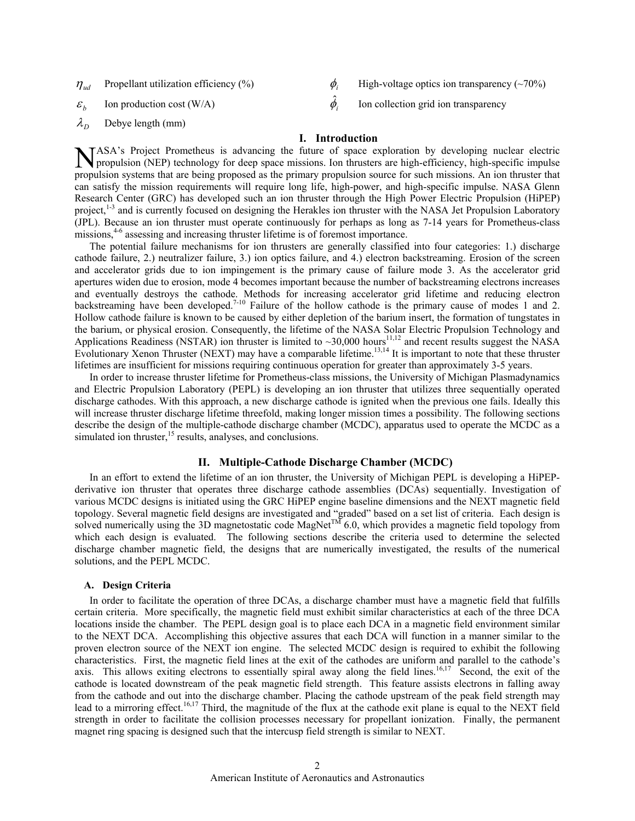$\eta_{\mu d}$  Propellant utilization efficiency (%)  $\phi_i$  High-voltage optics ion transparency (~70%)

 $\mathcal{E}_b$  Ion production cost (W/A)  $\phi_i$ 

 $\lambda_{D}$  Debye length (mm)

Ion collection grid ion transparency

# **I. Introduction**

ASA's Project Prometheus is advancing the future of space exploration by developing nuclear electric propulsion (NEP) technology for deep space missions. Ion thrusters are high-efficiency, high-specific impulse MASA's Project Prometheus is advancing the future of space exploration by developing nuclear electric propulsion (NEP) technology for deep space missions. Ion thrusters are high-efficiency, high-specific impulse propulsion can satisfy the mission requirements will require long life, high-power, and high-specific impulse. NASA Glenn Research Center (GRC) has developed such an ion thruster through the High Power Electric Propulsion (HiPEP) project,<sup>1-3</sup> and is currently focused on designing the Herakles ion thruster with the NASA Jet Propulsion Laboratory (JPL). Because an ion thruster must operate continuously for perhaps as long as 7-14 years for Prometheus-class missions,<sup>4-6</sup> assessing and increasing thruster lifetime is of foremost importance.

The potential failure mechanisms for ion thrusters are generally classified into four categories: 1.) discharge cathode failure, 2.) neutralizer failure, 3.) ion optics failure, and 4.) electron backstreaming. Erosion of the screen and accelerator grids due to ion impingement is the primary cause of failure mode 3. As the accelerator grid apertures widen due to erosion, mode 4 becomes important because the number of backstreaming electrons increases and eventually destroys the cathode. Methods for increasing accelerator grid lifetime and reducing electron backstreaming have been developed.<sup>7-10</sup> Failure of the hollow cathode is the primary cause of modes 1 and 2. Hollow cathode failure is known to be caused by either depletion of the barium insert, the formation of tungstates in the barium, or physical erosion. Consequently, the lifetime of the NASA Solar Electric Propulsion Technology and Applications Readiness (NSTAR) ion thruster is limited to  $\sim$ 30,000 hours<sup>11,12</sup> and recent results suggest the NASA Evolutionary Xenon Thruster (NEXT) may have a comparable lifetime.<sup>13,14</sup> It is important to note that these thruster lifetimes are insufficient for missions requiring continuous operation for greater than approximately 3-5 years.

In order to increase thruster lifetime for Prometheus-class missions, the University of Michigan Plasmadynamics and Electric Propulsion Laboratory (PEPL) is developing an ion thruster that utilizes three sequentially operated discharge cathodes. With this approach, a new discharge cathode is ignited when the previous one fails. Ideally this will increase thruster discharge lifetime threefold, making longer mission times a possibility. The following sections describe the design of the multiple-cathode discharge chamber (MCDC), apparatus used to operate the MCDC as a simulated ion thruster,<sup>15</sup> results, analyses, and conclusions.

# **II. Multiple-Cathode Discharge Chamber (MCDC)**

In an effort to extend the lifetime of an ion thruster, the University of Michigan PEPL is developing a HiPEPderivative ion thruster that operates three discharge cathode assemblies (DCAs) sequentially. Investigation of various MCDC designs is initiated using the GRC HiPEP engine baseline dimensions and the NEXT magnetic field topology. Several magnetic field designs are investigated and "graded" based on a set list of criteria. Each design is solved numerically using the 3D magnetostatic code  $\text{MagNet}^{\text{TM}}$  6.0, which provides a magnetic field topology from which each design is evaluated. The following sections describe the criteria used to determine the selected discharge chamber magnetic field, the designs that are numerically investigated, the results of the numerical solutions, and the PEPL MCDC.

### **A. Design Criteria**

In order to facilitate the operation of three DCAs, a discharge chamber must have a magnetic field that fulfills certain criteria. More specifically, the magnetic field must exhibit similar characteristics at each of the three DCA locations inside the chamber. The PEPL design goal is to place each DCA in a magnetic field environment similar to the NEXT DCA. Accomplishing this objective assures that each DCA will function in a manner similar to the proven electron source of the NEXT ion engine. The selected MCDC design is required to exhibit the following characteristics. First, the magnetic field lines at the exit of the cathodes are uniform and parallel to the cathode's axis. This allows exiting electrons to essentially spiral away along the field lines.<sup>16,17</sup> Second, the exit of the cathode is located downstream of the peak magnetic field strength. This feature assists electrons in falling away from the cathode and out into the discharge chamber. Placing the cathode upstream of the peak field strength may lead to a mirroring effect.<sup>16,17</sup> Third, the magnitude of the flux at the cathode exit plane is equal to the NEXT field strength in order to facilitate the collision processes necessary for propellant ionization. Finally, the permanent magnet ring spacing is designed such that the intercusp field strength is similar to NEXT.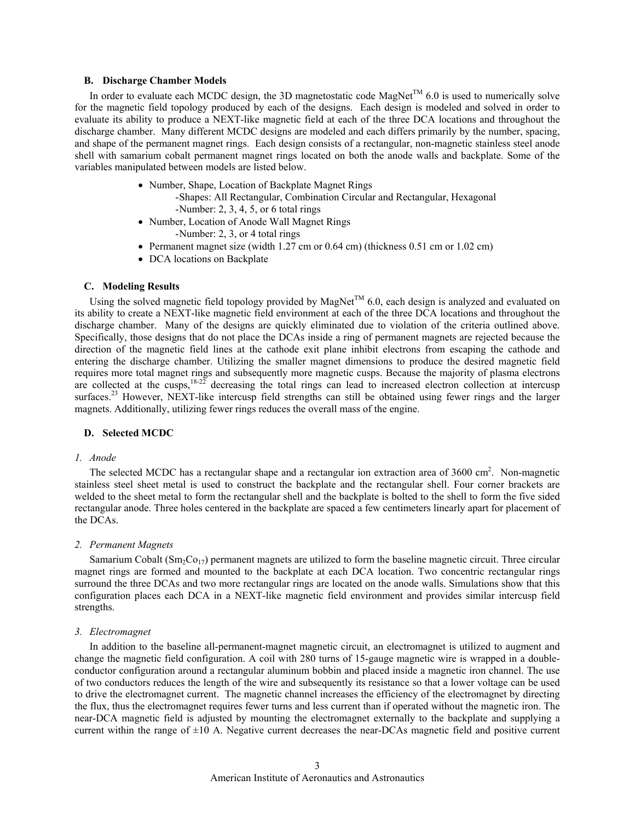# **B. Discharge Chamber Models**

In order to evaluate each MCDC design, the 3D magnetostatic code MagNet<sup>TM</sup> 6.0 is used to numerically solve for the magnetic field topology produced by each of the designs. Each design is modeled and solved in order to evaluate its ability to produce a NEXT-like magnetic field at each of the three DCA locations and throughout the discharge chamber. Many different MCDC designs are modeled and each differs primarily by the number, spacing, and shape of the permanent magnet rings. Each design consists of a rectangular, non-magnetic stainless steel anode shell with samarium cobalt permanent magnet rings located on both the anode walls and backplate. Some of the variables manipulated between models are listed below.

- Number, Shape, Location of Backplate Magnet Rings
	- -Shapes: All Rectangular, Combination Circular and Rectangular, Hexagonal -Number:  $2, 3, 4, 5$ , or 6 total rings
- Number, Location of Anode Wall Magnet Rings -Number: 2, 3, or 4 total rings
- Permanent magnet size (width 1.27 cm or 0.64 cm) (thickness 0.51 cm or 1.02 cm)
- DCA locations on Backplate

#### **C. Modeling Results**

Using the solved magnetic field topology provided by MagNet<sup>TM</sup> 6.0, each design is analyzed and evaluated on its ability to create a NEXT-like magnetic field environment at each of the three DCA locations and throughout the discharge chamber. Many of the designs are quickly eliminated due to violation of the criteria outlined above. Specifically, those designs that do not place the DCAs inside a ring of permanent magnets are rejected because the direction of the magnetic field lines at the cathode exit plane inhibit electrons from escaping the cathode and entering the discharge chamber. Utilizing the smaller magnet dimensions to produce the desired magnetic field requires more total magnet rings and subsequently more magnetic cusps. Because the majority of plasma electrons are collected at the cusps,<sup>18-22</sup> decreasing the total rings can lead to increased electron collection at intercusp surfaces.<sup>23</sup> However, NEXT-like intercusp field strengths can still be obtained using fewer rings and the larger magnets. Additionally, utilizing fewer rings reduces the overall mass of the engine.

# **D. Selected MCDC**

### *1. Anode*

The selected MCDC has a rectangular shape and a rectangular ion extraction area of  $3600 \text{ cm}^2$ . Non-magnetic stainless steel sheet metal is used to construct the backplate and the rectangular shell. Four corner brackets are welded to the sheet metal to form the rectangular shell and the backplate is bolted to the shell to form the five sided rectangular anode. Three holes centered in the backplate are spaced a few centimeters linearly apart for placement of the DCAs.

#### *2. Permanent Magnets*

Samarium Cobalt  $(Sm_2Co_{17})$  permanent magnets are utilized to form the baseline magnetic circuit. Three circular magnet rings are formed and mounted to the backplate at each DCA location. Two concentric rectangular rings surround the three DCAs and two more rectangular rings are located on the anode walls. Simulations show that this configuration places each DCA in a NEXT-like magnetic field environment and provides similar intercusp field strengths.

## *3. Electromagnet*

In addition to the baseline all-permanent-magnet magnetic circuit, an electromagnet is utilized to augment and change the magnetic field configuration. A coil with 280 turns of 15-gauge magnetic wire is wrapped in a doubleconductor configuration around a rectangular aluminum bobbin and placed inside a magnetic iron channel. The use of two conductors reduces the length of the wire and subsequently its resistance so that a lower voltage can be used to drive the electromagnet current. The magnetic channel increases the efficiency of the electromagnet by directing the flux, thus the electromagnet requires fewer turns and less current than if operated without the magnetic iron. The near-DCA magnetic field is adjusted by mounting the electromagnet externally to the backplate and supplying a current within the range of  $\pm 10$  A. Negative current decreases the near-DCAs magnetic field and positive current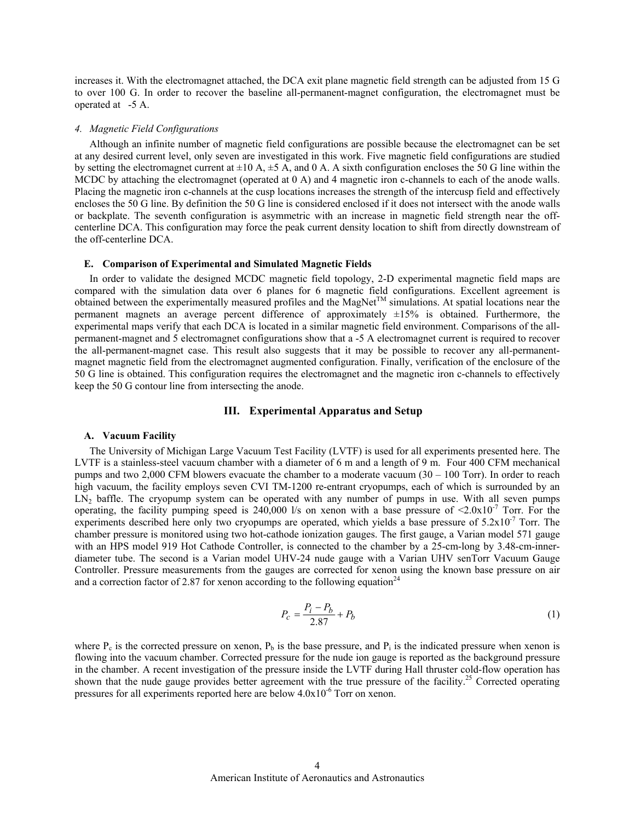increases it. With the electromagnet attached, the DCA exit plane magnetic field strength can be adjusted from 15 G to over 100 G. In order to recover the baseline all-permanent-magnet configuration, the electromagnet must be operated at -5 A.

#### *4. Magnetic Field Configurations*

Although an infinite number of magnetic field configurations are possible because the electromagnet can be set at any desired current level, only seven are investigated in this work. Five magnetic field configurations are studied by setting the electromagnet current at  $\pm 10$  A,  $\pm 5$  A, and 0 A. A sixth configuration encloses the 50 G line within the MCDC by attaching the electromagnet (operated at 0 A) and 4 magnetic iron c-channels to each of the anode walls. Placing the magnetic iron c-channels at the cusp locations increases the strength of the intercusp field and effectively encloses the 50 G line. By definition the 50 G line is considered enclosed if it does not intersect with the anode walls or backplate. The seventh configuration is asymmetric with an increase in magnetic field strength near the offcenterline DCA. This configuration may force the peak current density location to shift from directly downstream of the off-centerline DCA.

## **E. Comparison of Experimental and Simulated Magnetic Fields**

In order to validate the designed MCDC magnetic field topology, 2-D experimental magnetic field maps are compared with the simulation data over 6 planes for 6 magnetic field configurations. Excellent agreement is obtained between the experimentally measured profiles and the MagNet<sup>TM</sup> simulations. At spatial locations near the permanent magnets an average percent difference of approximately  $\pm 15\%$  is obtained. Furthermore, the experimental maps verify that each DCA is located in a similar magnetic field environment. Comparisons of the allpermanent-magnet and 5 electromagnet configurations show that a -5 A electromagnet current is required to recover the all-permanent-magnet case. This result also suggests that it may be possible to recover any all-permanentmagnet magnetic field from the electromagnet augmented configuration. Finally, verification of the enclosure of the 50 G line is obtained. This configuration requires the electromagnet and the magnetic iron c-channels to effectively keep the 50 G contour line from intersecting the anode.

# **III. Experimental Apparatus and Setup**

#### **A. Vacuum Facility**

The University of Michigan Large Vacuum Test Facility (LVTF) is used for all experiments presented here. The LVTF is a stainless-steel vacuum chamber with a diameter of 6 m and a length of 9 m. Four 400 CFM mechanical pumps and two 2,000 CFM blowers evacuate the chamber to a moderate vacuum (30 – 100 Torr). In order to reach high vacuum, the facility employs seven CVI TM-1200 re-entrant cryopumps, each of which is surrounded by an  $LN<sub>2</sub>$  baffle. The cryopump system can be operated with any number of pumps in use. With all seven pumps operating, the facility pumping speed is 240,000 l/s on xenon with a base pressure of  $\leq 2.0x10^{-7}$  Torr. For the experiments described here only two cryopumps are operated, which yields a base pressure of  $5.2x10^{-7}$  Torr. The chamber pressure is monitored using two hot-cathode ionization gauges. The first gauge, a Varian model 571 gauge with an HPS model 919 Hot Cathode Controller, is connected to the chamber by a 25-cm-long by 3.48-cm-innerdiameter tube. The second is a Varian model UHV-24 nude gauge with a Varian UHV senTorr Vacuum Gauge Controller. Pressure measurements from the gauges are corrected for xenon using the known base pressure on air and a correction factor of 2.87 for xenon according to the following equation<sup>24</sup>

$$
P_c = \frac{P_i - P_b}{2.87} + P_b \tag{1}
$$

where  $P_c$  is the corrected pressure on xenon,  $P_b$  is the base pressure, and  $P_i$  is the indicated pressure when xenon is flowing into the vacuum chamber. Corrected pressure for the nude ion gauge is reported as the background pressure in the chamber. A recent investigation of the pressure inside the LVTF during Hall thruster cold-flow operation has shown that the nude gauge provides better agreement with the true pressure of the facility.<sup>25</sup> Corrected operating pressures for all experiments reported here are below  $4.0x10^{-6}$  Torr on xenon.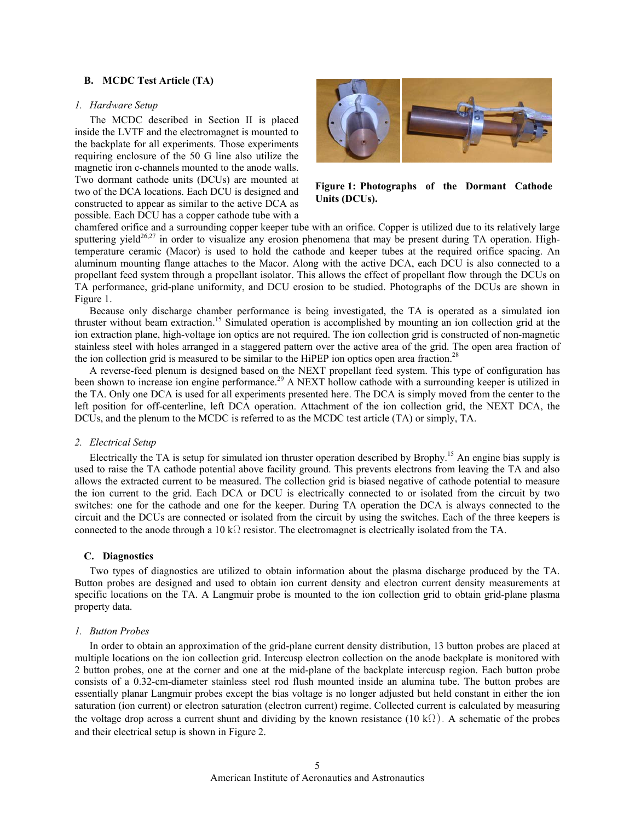# **B. MCDC Test Article (TA)**

## *1. Hardware Setup*

The MCDC described in Section II is placed inside the LVTF and the electromagnet is mounted to the backplate for all experiments. Those experiments requiring enclosure of the 50 G line also utilize the magnetic iron c-channels mounted to the anode walls. Two dormant cathode units (DCUs) are mounted at two of the DCA locations. Each DCU is designed and constructed to appear as similar to the active DCA as possible. Each DCU has a copper cathode tube with a



**Figure 1: Photographs of the Dormant Cathode Units (DCUs).** 

chamfered orifice and a surrounding copper keeper tube with an orifice. Copper is utilized due to its relatively large sputtering yield<sup>26,27</sup> in order to visualize any erosion phenomena that may be present during TA operation. Hightemperature ceramic (Macor) is used to hold the cathode and keeper tubes at the required orifice spacing. An aluminum mounting flange attaches to the Macor. Along with the active DCA, each DCU is also connected to a propellant feed system through a propellant isolator. This allows the effect of propellant flow through the DCUs on TA performance, grid-plane uniformity, and DCU erosion to be studied. Photographs of the DCUs are shown in Figure 1.

Because only discharge chamber performance is being investigated, the TA is operated as a simulated ion thruster without beam extraction.15 Simulated operation is accomplished by mounting an ion collection grid at the ion extraction plane, high-voltage ion optics are not required. The ion collection grid is constructed of non-magnetic stainless steel with holes arranged in a staggered pattern over the active area of the grid. The open area fraction of the ion collection grid is measured to be similar to the HiPEP ion optics open area fraction.<sup>28</sup>

A reverse-feed plenum is designed based on the NEXT propellant feed system. This type of configuration has been shown to increase ion engine performance.<sup>29</sup> A NEXT hollow cathode with a surrounding keeper is utilized in the TA. Only one DCA is used for all experiments presented here. The DCA is simply moved from the center to the left position for off-centerline, left DCA operation. Attachment of the ion collection grid, the NEXT DCA, the DCUs, and the plenum to the MCDC is referred to as the MCDC test article (TA) or simply, TA.

# *2. Electrical Setup*

Electrically the TA is setup for simulated ion thruster operation described by Brophy.15 An engine bias supply is used to raise the TA cathode potential above facility ground. This prevents electrons from leaving the TA and also allows the extracted current to be measured. The collection grid is biased negative of cathode potential to measure the ion current to the grid. Each DCA or DCU is electrically connected to or isolated from the circuit by two switches: one for the cathode and one for the keeper. During TA operation the DCA is always connected to the circuit and the DCUs are connected or isolated from the circuit by using the switches. Each of the three keepers is connected to the anode through a 10 k $\Omega$  resistor. The electromagnet is electrically isolated from the TA.

#### **C. Diagnostics**

Two types of diagnostics are utilized to obtain information about the plasma discharge produced by the TA. Button probes are designed and used to obtain ion current density and electron current density measurements at specific locations on the TA. A Langmuir probe is mounted to the ion collection grid to obtain grid-plane plasma property data.

## *1. Button Probes*

In order to obtain an approximation of the grid-plane current density distribution, 13 button probes are placed at multiple locations on the ion collection grid. Intercusp electron collection on the anode backplate is monitored with 2 button probes, one at the corner and one at the mid-plane of the backplate intercusp region. Each button probe consists of a 0.32-cm-diameter stainless steel rod flush mounted inside an alumina tube. The button probes are essentially planar Langmuir probes except the bias voltage is no longer adjusted but held constant in either the ion saturation (ion current) or electron saturation (electron current) regime. Collected current is calculated by measuring the voltage drop across a current shunt and dividing by the known resistance (10 k $\Omega$ ). A schematic of the probes and their electrical setup is shown in Figure 2.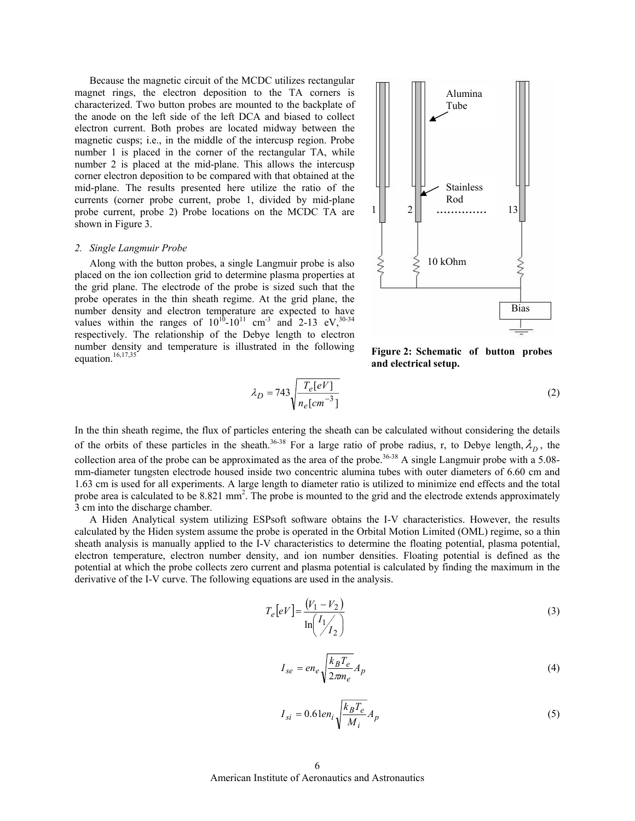Because the magnetic circuit of the MCDC utilizes rectangular magnet rings, the electron deposition to the TA corners is characterized. Two button probes are mounted to the backplate of the anode on the left side of the left DCA and biased to collect electron current. Both probes are located midway between the magnetic cusps; i.e., in the middle of the intercusp region. Probe number 1 is placed in the corner of the rectangular TA, while number 2 is placed at the mid-plane. This allows the intercusp corner electron deposition to be compared with that obtained at the mid-plane. The results presented here utilize the ratio of the currents (corner probe current, probe 1, divided by mid-plane probe current, probe 2) Probe locations on the MCDC TA are shown in Figure 3.

#### *2. Single Langmuir Probe*

Along with the button probes, a single Langmuir probe is also placed on the ion collection grid to determine plasma properties at the grid plane. The electrode of the probe is sized such that the probe operates in the thin sheath regime. At the grid plane, the number density and electron temperature are expected to have values within the ranges of  $10^{10}$ - $10^{11}$  cm<sup>-3</sup> and 2-13 eV,<sup>30-34</sup> respectively. The relationship of the Debye length to electron number density and temperature is illustrated in the following equation.<sup>16,17,35</sup>



**Figure 2: Schematic of button probes and electrical setup.** 

$$
\lambda_D = 743 \sqrt{\frac{T_e[eV]}{n_e[cm^{-3}]}}
$$
 (2)

In the thin sheath regime, the flux of particles entering the sheath can be calculated without considering the details of the orbits of these particles in the sheath.<sup>36-38</sup> For a large ratio of probe radius, r, to Debye length,  $\lambda_D$ , the collection area of the probe can be approximated as the area of the probe.<sup>36-38</sup> A single Langmuir probe with a 5.08mm-diameter tungsten electrode housed inside two concentric alumina tubes with outer diameters of 6.60 cm and 1.63 cm is used for all experiments. A large length to diameter ratio is utilized to minimize end effects and the total probe area is calculated to be  $8.821 \text{ mm}^2$ . The probe is mounted to the grid and the electrode extends approximately 3 cm into the discharge chamber.

A Hiden Analytical system utilizing ESPsoft software obtains the I-V characteristics. However, the results calculated by the Hiden system assume the probe is operated in the Orbital Motion Limited (OML) regime, so a thin sheath analysis is manually applied to the I-V characteristics to determine the floating potential, plasma potential, electron temperature, electron number density, and ion number densities. Floating potential is defined as the potential at which the probe collects zero current and plasma potential is calculated by finding the maximum in the derivative of the I-V curve. The following equations are used in the analysis.

$$
T_e[eV] = \frac{(V_1 - V_2)}{\ln\left(\frac{I_1}{I_2}\right)}\tag{3}
$$

$$
I_{se} = en_e \sqrt{\frac{k_B T_e}{2\pi m_e}} A_p
$$
 (4)

$$
I_{si} = 0.61en_i \sqrt{\frac{k_B T_e}{M_i}} A_p
$$
\n<sup>(5)</sup>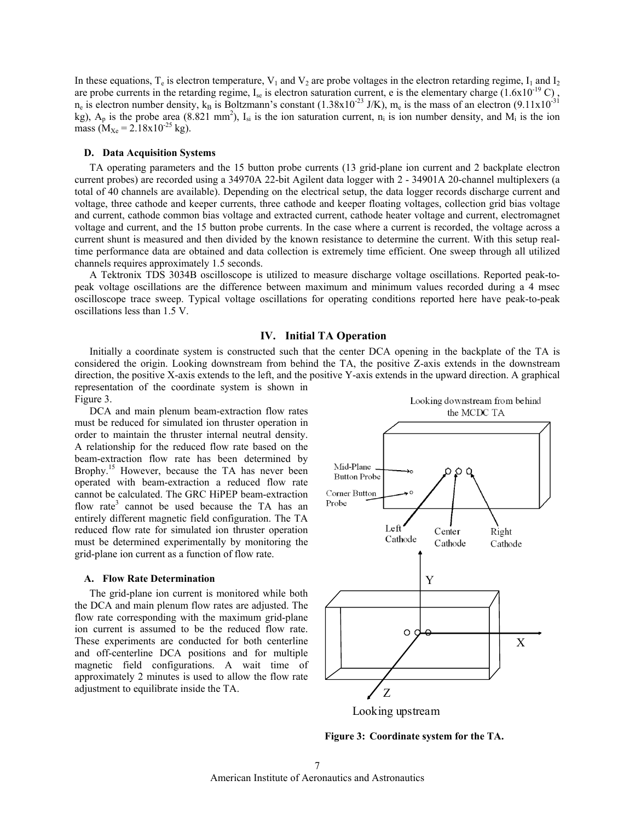In these equations,  $T_e$  is electron temperature,  $V_1$  and  $V_2$  are probe voltages in the electron retarding regime,  $I_1$  and  $I_2$ are probe currents in the retarding regime,  $I_{se}$  is electron saturation current, e is the elementary charge  $(1.6x10^{-19} \text{ C})$ ,  $n_e$  is electron number density,  $k_B$  is Boltzmann's constant (1.38x10<sup>-23</sup> J/K),  $m_e$  is the mass of an electron (9.11x10<sup>-31</sup>) kg),  $A_p$  is the probe area (8.821 mm<sup>2</sup>),  $I_{si}$  is the ion saturation current,  $n_i$  is ion number density, and  $M_i$  is the ion mass  $(M_{Xe} = 2.18x10^{-25}$  kg).

# **D. Data Acquisition Systems**

TA operating parameters and the 15 button probe currents (13 grid-plane ion current and 2 backplate electron current probes) are recorded using a 34970A 22-bit Agilent data logger with 2 - 34901A 20-channel multiplexers (a total of 40 channels are available). Depending on the electrical setup, the data logger records discharge current and voltage, three cathode and keeper currents, three cathode and keeper floating voltages, collection grid bias voltage and current, cathode common bias voltage and extracted current, cathode heater voltage and current, electromagnet voltage and current, and the 15 button probe currents. In the case where a current is recorded, the voltage across a current shunt is measured and then divided by the known resistance to determine the current. With this setup realtime performance data are obtained and data collection is extremely time efficient. One sweep through all utilized channels requires approximately 1.5 seconds.

A Tektronix TDS 3034B oscilloscope is utilized to measure discharge voltage oscillations. Reported peak-topeak voltage oscillations are the difference between maximum and minimum values recorded during a 4 msec oscilloscope trace sweep. Typical voltage oscillations for operating conditions reported here have peak-to-peak oscillations less than 1.5 V.

# **IV. Initial TA Operation**

Initially a coordinate system is constructed such that the center DCA opening in the backplate of the TA is considered the origin. Looking downstream from behind the TA, the positive Z-axis extends in the downstream direction, the positive X-axis extends to the left, and the positive Y-axis extends in the upward direction. A graphical representation of the coordinate system is shown in Figure 3.

DCA and main plenum beam-extraction flow rates must be reduced for simulated ion thruster operation in order to maintain the thruster internal neutral density. A relationship for the reduced flow rate based on the beam-extraction flow rate has been determined by Brophy.<sup>15</sup> However, because the TA has never been operated with beam-extraction a reduced flow rate cannot be calculated. The GRC HiPEP beam-extraction flow rate<sup>3</sup> cannot be used because the TA has an entirely different magnetic field configuration. The TA reduced flow rate for simulated ion thruster operation must be determined experimentally by monitoring the grid-plane ion current as a function of flow rate.

# **A. Flow Rate Determination**

The grid-plane ion current is monitored while both the DCA and main plenum flow rates are adjusted. The flow rate corresponding with the maximum grid-plane ion current is assumed to be the reduced flow rate. These experiments are conducted for both centerline and off-centerline DCA positions and for multiple magnetic field configurations. A wait time of approximately 2 minutes is used to allow the flow rate adjustment to equilibrate inside the TA.



Looking upstream

**Figure 3: Coordinate system for the TA.**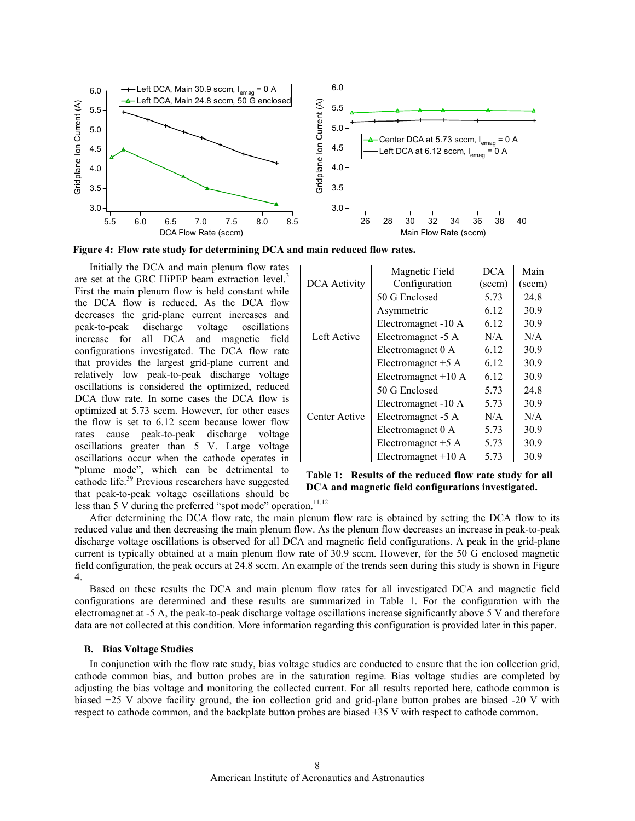

**Figure 4: Flow rate study for determining DCA and main reduced flow rates.** 

Initially the DCA and main plenum flow rates are set at the GRC HiPEP beam extraction level.<sup>3</sup> First the main plenum flow is held constant while the DCA flow is reduced. As the DCA flow decreases the grid-plane current increases and peak-to-peak discharge voltage oscillations increase for all DCA and magnetic field configurations investigated. The DCA flow rate that provides the largest grid-plane current and relatively low peak-to-peak discharge voltage oscillations is considered the optimized, reduced DCA flow rate. In some cases the DCA flow is optimized at 5.73 sccm. However, for other cases the flow is set to 6.12 sccm because lower flow rates cause peak-to-peak discharge voltage oscillations greater than 5 V. Large voltage oscillations occur when the cathode operates in "plume mode", which can be detrimental to cathode life.<sup>39</sup> Previous researchers have suggested that peak-to-peak voltage oscillations should be

|               | Magnetic Field        | <b>DCA</b>      | Main            |
|---------------|-----------------------|-----------------|-----------------|
| DCA Activity  | Configuration         | $(\text{sccm})$ | $(\text{sccm})$ |
|               | 50 G Enclosed         | 5.73            | 24.8            |
|               | Asymmetric            | 6.12            | 30.9            |
| Left Active   | Electromagnet -10 A   | 6.12            | 30.9            |
|               | Electromagnet -5 A    | N/A             | N/A             |
|               | Electromagnet 0 A     | 6.12            | 30.9            |
|               | Electromagnet $+5$ A  | 6.12            | 30.9            |
|               | Electromagnet $+10$ A | 6.12            | 30.9            |
|               | 50 G Enclosed         | 5.73            | 24.8            |
| Center Active | Electromagnet -10 A   | 5.73            | 30.9            |
|               | Electromagnet -5 A    | N/A             | N/A             |
|               | Electromagnet 0 A     | 5.73            | 30.9            |
|               | Electromagnet $+5$ A  | 5.73            | 30.9            |
|               | Electromagnet $+10$ A | 5.73            | 30.9            |

**Table 1: Results of the reduced flow rate study for all DCA and magnetic field configurations investigated.**

less than 5 V during the preferred "spot mode" operation.<sup>11,12</sup>

After determining the DCA flow rate, the main plenum flow rate is obtained by setting the DCA flow to its reduced value and then decreasing the main plenum flow. As the plenum flow decreases an increase in peak-to-peak discharge voltage oscillations is observed for all DCA and magnetic field configurations. A peak in the grid-plane current is typically obtained at a main plenum flow rate of 30.9 sccm. However, for the 50 G enclosed magnetic field configuration, the peak occurs at 24.8 sccm. An example of the trends seen during this study is shown in Figure 4.

Based on these results the DCA and main plenum flow rates for all investigated DCA and magnetic field configurations are determined and these results are summarized in Table 1. For the configuration with the electromagnet at -5 A, the peak-to-peak discharge voltage oscillations increase significantly above 5 V and therefore data are not collected at this condition. More information regarding this configuration is provided later in this paper.

### **B. Bias Voltage Studies**

In conjunction with the flow rate study, bias voltage studies are conducted to ensure that the ion collection grid, cathode common bias, and button probes are in the saturation regime. Bias voltage studies are completed by adjusting the bias voltage and monitoring the collected current. For all results reported here, cathode common is biased +25 V above facility ground, the ion collection grid and grid-plane button probes are biased -20 V with respect to cathode common, and the backplate button probes are biased +35 V with respect to cathode common.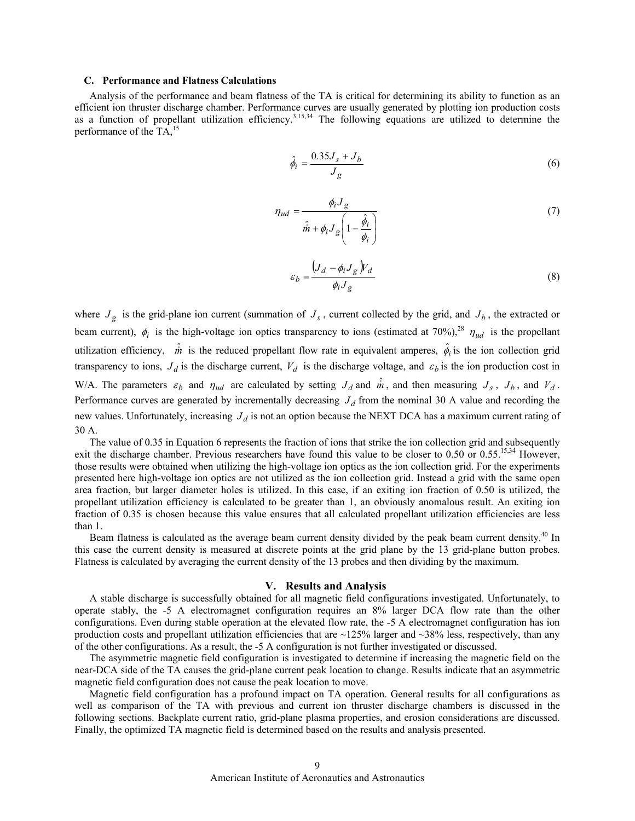## **C. Performance and Flatness Calculations**

Analysis of the performance and beam flatness of the TA is critical for determining its ability to function as an efficient ion thruster discharge chamber. Performance curves are usually generated by plotting ion production costs as a function of propellant utilization efficiency.<sup>3,15,34</sup> The following equations are utilized to determine the performance of the TA,<sup>15</sup>

$$
\hat{\phi}_i = \frac{0.35J_s + J_b}{J_g} \tag{6}
$$

$$
\eta_{ud} = \frac{\phi_i J_g}{\hat{m} + \phi_i J_g \left(1 - \frac{\hat{\phi}_i}{\phi_i}\right)}\tag{7}
$$

$$
\varepsilon_b = \frac{\left(J_d - \phi_i J_g\right) V_d}{\phi_i J_g} \tag{8}
$$

where  $J_g$  is the grid-plane ion current (summation of  $J_g$ , current collected by the grid, and  $J_b$ , the extracted or beam current),  $\phi_i$  is the high-voltage ion optics transparency to ions (estimated at 70%),<sup>28</sup>  $\eta_{ud}$  is the propellant utilization efficiency,  $\hat{m}$  is the reduced propellant flow rate in equivalent amperes,  $\hat{\phi}_i$  is the ion collection grid transparency to ions,  $J_d$  is the discharge current,  $V_d$  is the discharge voltage, and  $\varepsilon_b$  is the ion production cost in W/A. The parameters  $\varepsilon_b$  and  $\eta_{ud}$  are calculated by setting  $J_d$  and  $\hat{m}$ , and then measuring  $J_s$ ,  $J_b$ , and  $V_d$ . Performance curves are generated by incrementally decreasing  $J_d$  from the nominal 30 A value and recording the new values. Unfortunately, increasing  $J_d$  is not an option because the NEXT DCA has a maximum current rating of 30 A.

The value of 0.35 in Equation 6 represents the fraction of ions that strike the ion collection grid and subsequently exit the discharge chamber. Previous researchers have found this value to be closer to 0.50 or 0.55.<sup>15,34</sup> However, those results were obtained when utilizing the high-voltage ion optics as the ion collection grid. For the experiments presented here high-voltage ion optics are not utilized as the ion collection grid. Instead a grid with the same open area fraction, but larger diameter holes is utilized. In this case, if an exiting ion fraction of 0.50 is utilized, the propellant utilization efficiency is calculated to be greater than 1, an obviously anomalous result. An exiting ion fraction of 0.35 is chosen because this value ensures that all calculated propellant utilization efficiencies are less than 1.

Beam flatness is calculated as the average beam current density divided by the peak beam current density.<sup>40</sup> In this case the current density is measured at discrete points at the grid plane by the 13 grid-plane button probes. Flatness is calculated by averaging the current density of the 13 probes and then dividing by the maximum.

# **V. Results and Analysis**

A stable discharge is successfully obtained for all magnetic field configurations investigated. Unfortunately, to operate stably, the -5 A electromagnet configuration requires an 8% larger DCA flow rate than the other configurations. Even during stable operation at the elevated flow rate, the -5 A electromagnet configuration has ion production costs and propellant utilization efficiencies that are  $\sim$ 125% larger and  $\sim$ 38% less, respectively, than any of the other configurations. As a result, the -5 A configuration is not further investigated or discussed.

The asymmetric magnetic field configuration is investigated to determine if increasing the magnetic field on the near-DCA side of the TA causes the grid-plane current peak location to change. Results indicate that an asymmetric magnetic field configuration does not cause the peak location to move.

Magnetic field configuration has a profound impact on TA operation. General results for all configurations as well as comparison of the TA with previous and current ion thruster discharge chambers is discussed in the following sections. Backplate current ratio, grid-plane plasma properties, and erosion considerations are discussed. Finally, the optimized TA magnetic field is determined based on the results and analysis presented.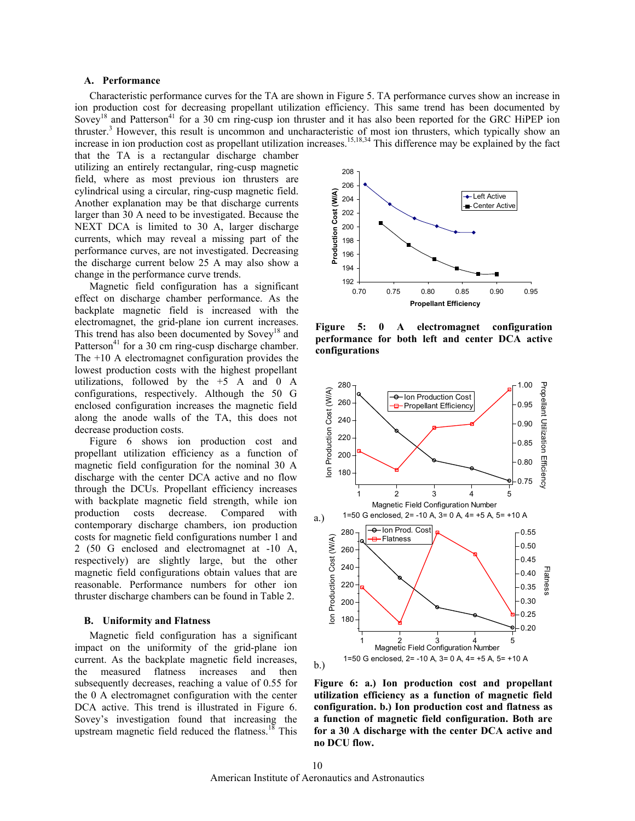# **A. Performance**

Characteristic performance curves for the TA are shown in Figure 5. TA performance curves show an increase in ion production cost for decreasing propellant utilization efficiency. This same trend has been documented by Sovey<sup>18</sup> and Patterson<sup>41</sup> for a 30 cm ring-cusp ion thruster and it has also been reported for the GRC HiPEP ion thruster.<sup>3</sup> However, this result is uncommon and uncharacteristic of most ion thrusters, which typically show an increase in ion production cost as propellant utilization increases.<sup>15,18,34</sup> This difference may be explained by the fact

that the TA is a rectangular discharge chamber utilizing an entirely rectangular, ring-cusp magnetic field, where as most previous ion thrusters are cylindrical using a circular, ring-cusp magnetic field. Another explanation may be that discharge currents larger than 30 A need to be investigated. Because the NEXT DCA is limited to 30 A, larger discharge currents, which may reveal a missing part of the performance curves, are not investigated. Decreasing the discharge current below 25 A may also show a change in the performance curve trends.

Magnetic field configuration has a significant effect on discharge chamber performance. As the backplate magnetic field is increased with the electromagnet, the grid-plane ion current increases. This trend has also been documented by Sovey<sup>18</sup> and Patterson<sup>41</sup> for a 30 cm ring-cusp discharge chamber. The +10 A electromagnet configuration provides the lowest production costs with the highest propellant utilizations, followed by the  $+5$  A and 0 A configurations, respectively. Although the 50 G enclosed configuration increases the magnetic field along the anode walls of the TA, this does not decrease production costs.

Figure 6 shows ion production cost and propellant utilization efficiency as a function of magnetic field configuration for the nominal 30 A discharge with the center DCA active and no flow through the DCUs. Propellant efficiency increases with backplate magnetic field strength, while ion production costs decrease. Compared with contemporary discharge chambers, ion production costs for magnetic field configurations number 1 and 2 (50 G enclosed and electromagnet at -10 A, respectively) are slightly large, but the other magnetic field configurations obtain values that are reasonable. Performance numbers for other ion thruster discharge chambers can be found in Table 2.

#### **B. Uniformity and Flatness**

Magnetic field configuration has a significant impact on the uniformity of the grid-plane ion current. As the backplate magnetic field increases, the measured flatness increases and then subsequently decreases, reaching a value of 0.55 for the 0 A electromagnet configuration with the center DCA active. This trend is illustrated in Figure 6. Sovey's investigation found that increasing the upstream magnetic field reduced the flatness. $18$  This



**Figure 5: 0 A electromagnet configuration performance for both left and center DCA active configurations** 



**Figure 6: a.) Ion production cost and propellant utilization efficiency as a function of magnetic field configuration. b.) Ion production cost and flatness as a function of magnetic field configuration. Both are for a 30 A discharge with the center DCA active and no DCU flow.**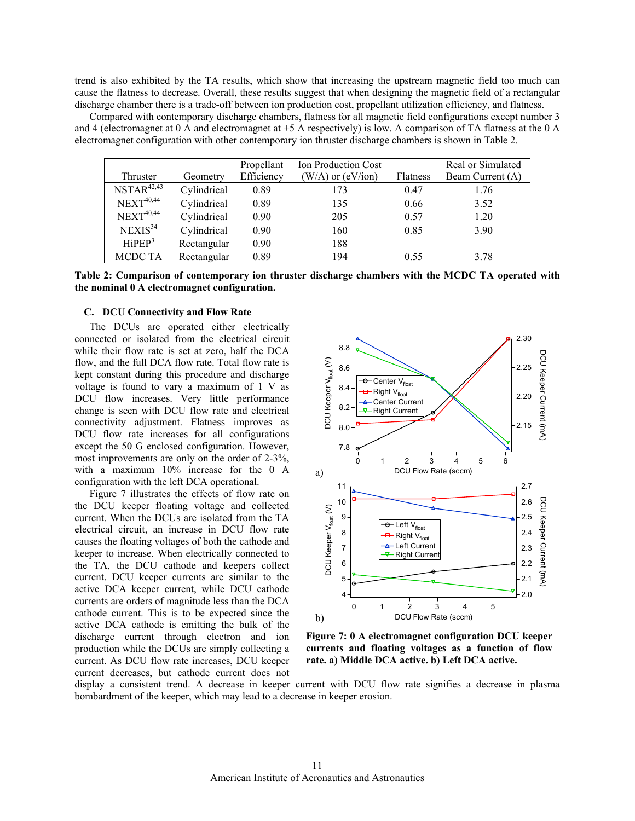trend is also exhibited by the TA results, which show that increasing the upstream magnetic field too much can cause the flatness to decrease. Overall, these results suggest that when designing the magnetic field of a rectangular discharge chamber there is a trade-off between ion production cost, propellant utilization efficiency, and flatness.

Compared with contemporary discharge chambers, flatness for all magnetic field configurations except number 3 and 4 (electromagnet at 0 A and electromagnet at  $+5$  A respectively) is low. A comparison of TA flatness at the 0 A electromagnet configuration with other contemporary ion thruster discharge chambers is shown in Table 2.

|                     |             | Propellant | <b>Ion Production Cost</b> |          | Real or Simulated |
|---------------------|-------------|------------|----------------------------|----------|-------------------|
| Thruster            | Geometry    | Efficiency | $(W/A)$ or $(eV/ion)$      | Flatness | Beam Current (A)  |
| $\n  NSTAR42,43\n$  | Cylindrical | 0.89       | 173                        | 0.47     | 176               |
| $NEXT^{40,44}$      | Cylindrical | 0.89       | 135                        | 0.66     | 3.52              |
| $NEXT^{40,44}$      | Cylindrical | 0.90       | 205                        | 0.57     | 1.20              |
| NEXIS <sup>34</sup> | Cylindrical | 0.90       | 160                        | 0.85     | 3.90              |
| HiPEP <sup>3</sup>  | Rectangular | 0.90       | 188                        |          |                   |
| <b>MCDC TA</b>      | Rectangular | 0.89       | 194                        | 0.55     | 3.78              |

**Table 2: Comparison of contemporary ion thruster discharge chambers with the MCDC TA operated with the nominal 0 A electromagnet configuration.** 

## **C. DCU Connectivity and Flow Rate**

The DCUs are operated either electrically connected or isolated from the electrical circuit while their flow rate is set at zero, half the DCA flow, and the full DCA flow rate. Total flow rate is kept constant during this procedure and discharge voltage is found to vary a maximum of 1 V as DCU flow increases. Very little performance change is seen with DCU flow rate and electrical connectivity adjustment. Flatness improves as DCU flow rate increases for all configurations except the 50 G enclosed configuration. However, most improvements are only on the order of 2-3%, with a maximum 10% increase for the 0 A configuration with the left DCA operational.

Figure 7 illustrates the effects of flow rate on the DCU keeper floating voltage and collected current. When the DCUs are isolated from the TA electrical circuit, an increase in DCU flow rate causes the floating voltages of both the cathode and keeper to increase. When electrically connected to the TA, the DCU cathode and keepers collect current. DCU keeper currents are similar to the active DCA keeper current, while DCU cathode currents are orders of magnitude less than the DCA cathode current. This is to be expected since the active DCA cathode is emitting the bulk of the discharge current through electron and ion production while the DCUs are simply collecting a current. As DCU flow rate increases, DCU keeper current decreases, but cathode current does not



**Figure 7: 0 A electromagnet configuration DCU keeper currents and floating voltages as a function of flow rate. a) Middle DCA active. b) Left DCA active.** 

display a consistent trend. A decrease in keeper current with DCU flow rate signifies a decrease in plasma bombardment of the keeper, which may lead to a decrease in keeper erosion.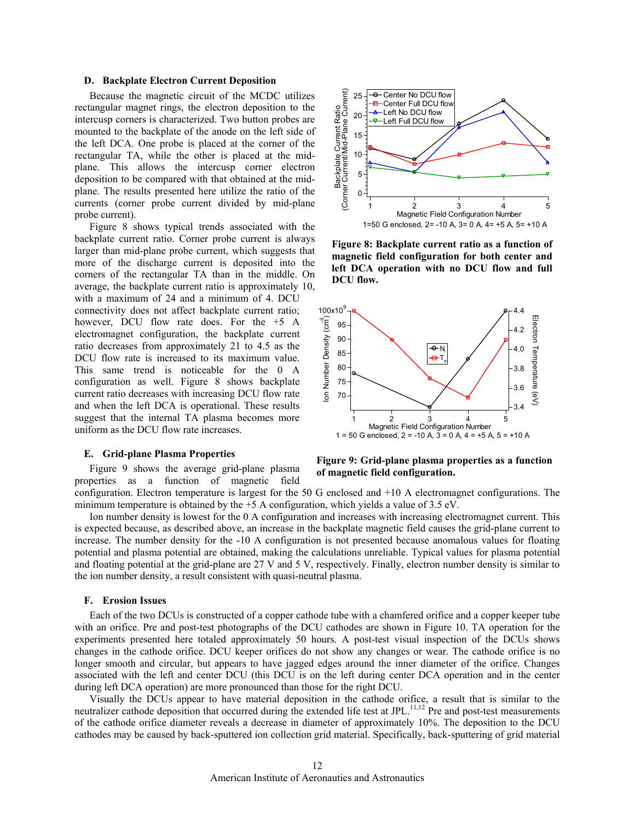## **D. Backplate Electron Current Deposition**

Because the magnetic circuit of the MCDC utilizes rectangular magnet rings, the electron deposition to the intercusp corners is characterized. Two button probes are mounted to the backplate of the anode on the left side of the left DCA. One probe is placed at the corner of the rectangular TA, while the other is placed at the midplane. This allows the intercusp corner electron deposition to be compared with that obtained at the midplane. The results presented here utilize the ratio of the currents (corner probe current divided by mid-plane probe current).

Figure 8 shows typical trends associated with the backplate current ratio. Corner probe current is always larger than mid-plane probe current, which suggests that more of the discharge current is deposited into the corners of the rectangular TA than in the middle. On average, the backplate current ratio is approximately 10, with a maximum of 24 and a minimum of 4. DCU connectivity does not affect backplate current ratio; however, DCU flow rate does. For the  $+5$  A electromagnet configuration, the backplate current ratio decreases from approximately 21 to 4.5 as the DCU flow rate is increased to its maximum value. This same trend is noticeable for the 0 A configuration as well. Figure 8 shows backplate current ratio decreases with increasing DCU flow rate and when the left DCA is operational. These results suggest that the internal TA plasma becomes more uniform as the DCU flow rate increases.

#### **E. Grid-plane Plasma Properties**

Figure 9 shows the average grid-plane plasma properties as a function of magnetic field



**Figure 8: Backplate current ratio as a function of magnetic field configuration for both center and left DCA operation with no DCU flow and full DCU flow.**



**Figure 9: Grid-plane plasma properties as a function of magnetic field configuration.** 

configuration. Electron temperature is largest for the 50 G enclosed and +10 A electromagnet configurations. The minimum temperature is obtained by the +5 A configuration, which yields a value of 3.5 eV.

Ion number density is lowest for the 0 A configuration and increases with increasing electromagnet current. This is expected because, as described above, an increase in the backplate magnetic field causes the grid-plane current to increase. The number density for the -10 A configuration is not presented because anomalous values for floating potential and plasma potential are obtained, making the calculations unreliable. Typical values for plasma potential and floating potential at the grid-plane are 27 V and 5 V, respectively. Finally, electron number density is similar to the ion number density, a result consistent with quasi-neutral plasma.

# **F. Erosion Issues**

Each of the two DCUs is constructed of a copper cathode tube with a chamfered orifice and a copper keeper tube with an orifice. Pre and post-test photographs of the DCU cathodes are shown in Figure 10. TA operation for the experiments presented here totaled approximately 50 hours. A post-test visual inspection of the DCUs shows changes in the cathode orifice. DCU keeper orifices do not show any changes or wear. The cathode orifice is no longer smooth and circular, but appears to have jagged edges around the inner diameter of the orifice. Changes associated with the left and center DCU (this DCU is on the left during center DCA operation and in the center during left DCA operation) are more pronounced than those for the right DCU.

Visually the DCUs appear to have material deposition in the cathode orifice, a result that is similar to the neutralizer cathode deposition that occurred during the extended life test at JPL.<sup>11,12</sup> Pre and post-test measurements of the cathode orifice diameter reveals a decrease in diameter of approximately 10%. The deposition to the DCU cathodes may be caused by back-sputtered ion collection grid material. Specifically, back-sputtering of grid material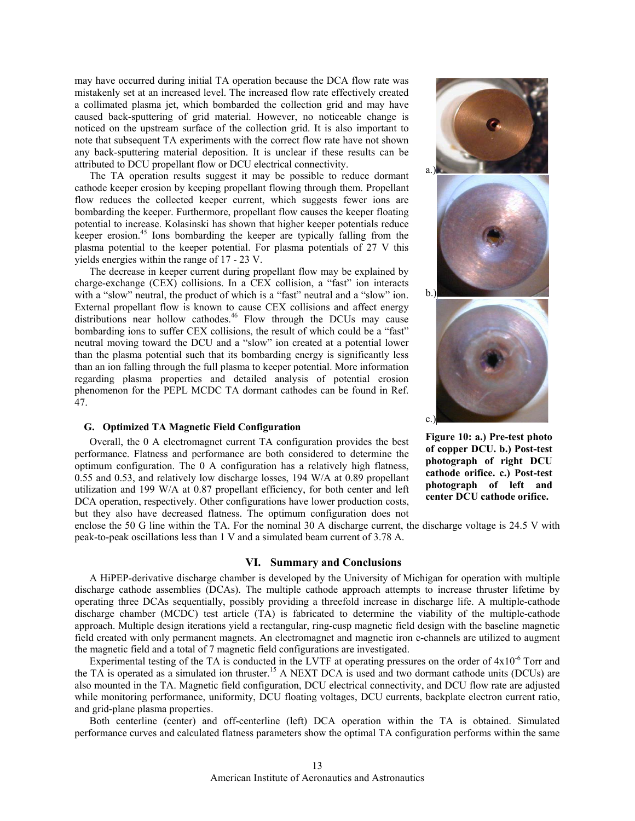may have occurred during initial TA operation because the DCA flow rate was mistakenly set at an increased level. The increased flow rate effectively created a collimated plasma jet, which bombarded the collection grid and may have caused back-sputtering of grid material. However, no noticeable change is noticed on the upstream surface of the collection grid. It is also important to note that subsequent TA experiments with the correct flow rate have not shown any back-sputtering material deposition. It is unclear if these results can be attributed to DCU propellant flow or DCU electrical connectivity.

The TA operation results suggest it may be possible to reduce dormant cathode keeper erosion by keeping propellant flowing through them. Propellant flow reduces the collected keeper current, which suggests fewer ions are bombarding the keeper. Furthermore, propellant flow causes the keeper floating potential to increase. Kolasinski has shown that higher keeper potentials reduce keeper erosion.45 Ions bombarding the keeper are typically falling from the plasma potential to the keeper potential. For plasma potentials of 27 V this yields energies within the range of 17 - 23 V.

The decrease in keeper current during propellant flow may be explained by charge-exchange (CEX) collisions. In a CEX collision, a "fast" ion interacts with a "slow" neutral, the product of which is a "fast" neutral and a "slow" ion. External propellant flow is known to cause CEX collisions and affect energy distributions near hollow cathodes.<sup>46</sup> Flow through the DCUs may cause bombarding ions to suffer CEX collisions, the result of which could be a "fast" neutral moving toward the DCU and a "slow" ion created at a potential lower than the plasma potential such that its bombarding energy is significantly less than an ion falling through the full plasma to keeper potential. More information regarding plasma properties and detailed analysis of potential erosion phenomenon for the PEPL MCDC TA dormant cathodes can be found in Ref. 47.

# **G. Optimized TA Magnetic Field Configuration**

Overall, the 0 A electromagnet current TA configuration provides the best performance. Flatness and performance are both considered to determine the optimum configuration. The 0 A configuration has a relatively high flatness, 0.55 and 0.53, and relatively low discharge losses, 194 W/A at 0.89 propellant utilization and 199 W/A at 0.87 propellant efficiency, for both center and left DCA operation, respectively. Other configurations have lower production costs, but they also have decreased flatness. The optimum configuration does not



c.)

**Figure 10: a.) Pre-test photo of copper DCU. b.) Post-test photograph of right DCU cathode orifice. c.) Post-test photograph of left and center DCU cathode orifice.** 

enclose the 50 G line within the TA. For the nominal 30 A discharge current, the discharge voltage is 24.5 V with peak-to-peak oscillations less than 1 V and a simulated beam current of 3.78 A.

# **VI. Summary and Conclusions**

A HiPEP-derivative discharge chamber is developed by the University of Michigan for operation with multiple discharge cathode assemblies (DCAs). The multiple cathode approach attempts to increase thruster lifetime by operating three DCAs sequentially, possibly providing a threefold increase in discharge life. A multiple-cathode discharge chamber (MCDC) test article (TA) is fabricated to determine the viability of the multiple-cathode approach. Multiple design iterations yield a rectangular, ring-cusp magnetic field design with the baseline magnetic field created with only permanent magnets. An electromagnet and magnetic iron c-channels are utilized to augment the magnetic field and a total of 7 magnetic field configurations are investigated.

Experimental testing of the TA is conducted in the LVTF at operating pressures on the order of  $4x10^{-6}$  Torr and the TA is operated as a simulated ion thruster.<sup>15</sup> A NEXT DCA is used and two dormant cathode units (DCUs) are also mounted in the TA. Magnetic field configuration, DCU electrical connectivity, and DCU flow rate are adjusted while monitoring performance, uniformity, DCU floating voltages, DCU currents, backplate electron current ratio, and grid-plane plasma properties.

Both centerline (center) and off-centerline (left) DCA operation within the TA is obtained. Simulated performance curves and calculated flatness parameters show the optimal TA configuration performs within the same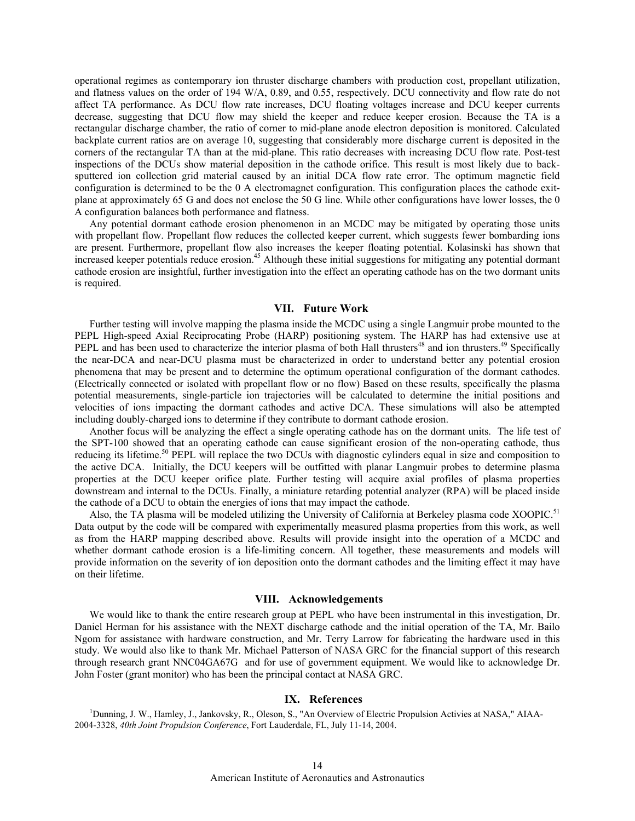operational regimes as contemporary ion thruster discharge chambers with production cost, propellant utilization, and flatness values on the order of 194 W/A, 0.89, and 0.55, respectively. DCU connectivity and flow rate do not affect TA performance. As DCU flow rate increases, DCU floating voltages increase and DCU keeper currents decrease, suggesting that DCU flow may shield the keeper and reduce keeper erosion. Because the TA is a rectangular discharge chamber, the ratio of corner to mid-plane anode electron deposition is monitored. Calculated backplate current ratios are on average 10, suggesting that considerably more discharge current is deposited in the corners of the rectangular TA than at the mid-plane. This ratio decreases with increasing DCU flow rate. Post-test inspections of the DCUs show material deposition in the cathode orifice. This result is most likely due to backsputtered ion collection grid material caused by an initial DCA flow rate error. The optimum magnetic field configuration is determined to be the 0 A electromagnet configuration. This configuration places the cathode exitplane at approximately 65 G and does not enclose the 50 G line. While other configurations have lower losses, the 0 A configuration balances both performance and flatness.

Any potential dormant cathode erosion phenomenon in an MCDC may be mitigated by operating those units with propellant flow. Propellant flow reduces the collected keeper current, which suggests fewer bombarding ions are present. Furthermore, propellant flow also increases the keeper floating potential. Kolasinski has shown that increased keeper potentials reduce erosion.<sup>45</sup> Although these initial suggestions for mitigating any potential dormant cathode erosion are insightful, further investigation into the effect an operating cathode has on the two dormant units is required.

# **VII. Future Work**

Further testing will involve mapping the plasma inside the MCDC using a single Langmuir probe mounted to the PEPL High-speed Axial Reciprocating Probe (HARP) positioning system. The HARP has had extensive use at PEPL and has been used to characterize the interior plasma of both Hall thrusters<sup>48</sup> and ion thrusters.<sup>49</sup> Specifically the near-DCA and near-DCU plasma must be characterized in order to understand better any potential erosion phenomena that may be present and to determine the optimum operational configuration of the dormant cathodes. (Electrically connected or isolated with propellant flow or no flow) Based on these results, specifically the plasma potential measurements, single-particle ion trajectories will be calculated to determine the initial positions and velocities of ions impacting the dormant cathodes and active DCA. These simulations will also be attempted including doubly-charged ions to determine if they contribute to dormant cathode erosion.

Another focus will be analyzing the effect a single operating cathode has on the dormant units. The life test of the SPT-100 showed that an operating cathode can cause significant erosion of the non-operating cathode, thus reducing its lifetime.<sup>50</sup> PEPL will replace the two DCUs with diagnostic cylinders equal in size and composition to the active DCA. Initially, the DCU keepers will be outfitted with planar Langmuir probes to determine plasma properties at the DCU keeper orifice plate. Further testing will acquire axial profiles of plasma properties downstream and internal to the DCUs. Finally, a miniature retarding potential analyzer (RPA) will be placed inside the cathode of a DCU to obtain the energies of ions that may impact the cathode.

Also, the TA plasma will be modeled utilizing the University of California at Berkeley plasma code XOOPIC.<sup>51</sup> Data output by the code will be compared with experimentally measured plasma properties from this work, as well as from the HARP mapping described above. Results will provide insight into the operation of a MCDC and whether dormant cathode erosion is a life-limiting concern. All together, these measurements and models will provide information on the severity of ion deposition onto the dormant cathodes and the limiting effect it may have on their lifetime.

# **VIII. Acknowledgements**

We would like to thank the entire research group at PEPL who have been instrumental in this investigation, Dr. Daniel Herman for his assistance with the NEXT discharge cathode and the initial operation of the TA, Mr. Bailo Ngom for assistance with hardware construction, and Mr. Terry Larrow for fabricating the hardware used in this study. We would also like to thank Mr. Michael Patterson of NASA GRC for the financial support of this research through research grant NNC04GA67G and for use of government equipment. We would like to acknowledge Dr. John Foster (grant monitor) who has been the principal contact at NASA GRC.

# **IX. References**

<sup>1</sup>Dunning, J. W., Hamley, J., Jankovsky, R., Oleson, S., "An Overview of Electric Propulsion Activies at NASA," AIAA-2004-3328, *40th Joint Propulsion Conference*, Fort Lauderdale, FL, July 11-14, 2004.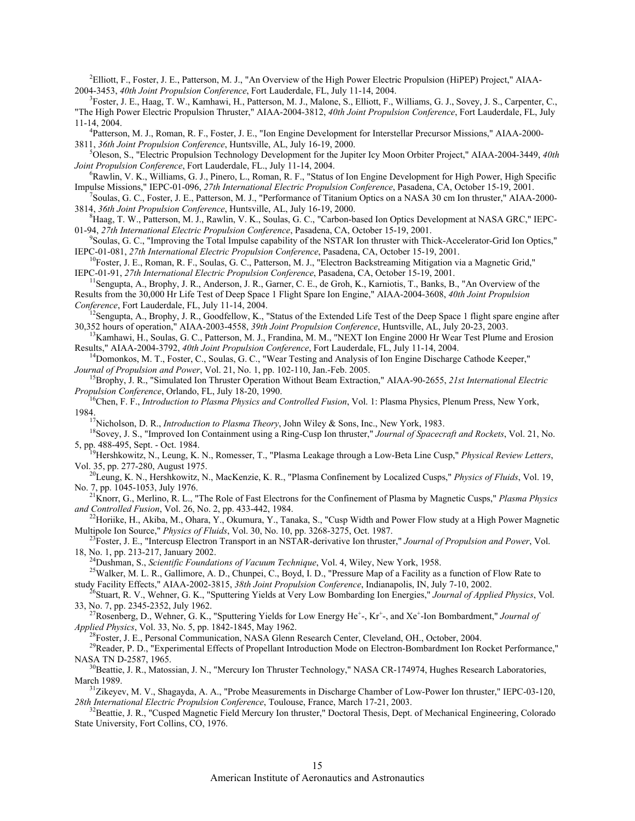2 Elliott, F., Foster, J. E., Patterson, M. J., "An Overview of the High Power Electric Propulsion (HiPEP) Project," AIAA-2004-3453, *40th Joint Propulsion Conference*, Fort Lauderdale, FL, July 11-14, 2004. 3

Foster, J. E., Haag, T. W., Kamhawi, H., Patterson, M. J., Malone, S., Elliott, F., Williams, G. J., Sovey, J. S., Carpenter, C., "The High Power Electric Propulsion Thruster," AIAA-2004-3812, *40th Joint Propulsion Conference*, Fort Lauderdale, FL, July 11-14, 2004. 4

Patterson, M. J., Roman, R. F., Foster, J. E., "Ion Engine Development for Interstellar Precursor Missions," AIAA-2000- 3811, *36th Joint Propulsion Conference*, Huntsville, AL, July 16-19, 2000. 5

<sup>5</sup>Oleson, S., "Electric Propulsion Technology Development for the Jupiter Icy Moon Orbiter Project," AIAA-2004-3449, 40th *Joint Propulsion Conference*, Fort Lauderdale, FL., July 11-14, 2004.

<sup>6</sup>Rawlin, V. K., Williams, G. J., Pinero, L., Roman, R. F., "Status of Ion Engine Development for High Power, High Specific Impulse Missions," IEPC-01-096, *27th International Electric Propulsion Conference*, Pasadena, CA, October 15-19, 2001. 7

Soulas, G. C., Foster, J. E., Patterson, M. J., "Performance of Titanium Optics on a NASA 30 cm Ion thruster," AIAA-2000- 3814, *36th Joint Propulsion Conference*, Huntsville, AL, July 16-19, 2000. 8

<sup>8</sup>Haag, T. W., Patterson, M. J., Rawlin, V. K., Soulas, G. C., "Carbon-based Ion Optics Development at NASA GRC," IEPC-01-94, *27th International Electric Propulsion Conference*, Pasadena, CA, October 15-19, 2001. 9

<sup>9</sup>Soulas, G. C., "Improving the Total Impulse capability of the NSTAR Ion thruster with Thick-Accelerator-Grid Ion Optics,"<br>IEPC-01-081, 27th International Electric Propulsion Conference, Pasadena, CA, October 15-19, 2001

<sup>10</sup>Foster, J. E., Roman, R. F., Soulas, G. C., Patterson, M. J., "Electron Backstreaming Mitigation via a Magnetic Grid,"<br>IEPC-01-91, 27th International Electric Propulsion Conference, Pasadena, CA, October 15-19, 2001.

<sup>11</sup>Sengupta, A., Brophy, J. R., Anderson, J. R., Garner, C. E., de Groh, K., Karniotis, T., Banks, B., "An Overview of the

Results from the 30,000 Hr Life Test of Deep Space 1 Flight Spare Ion Engine," AIAA-2004-3608, *40th Joint Propulsion* 

<sup>72</sup>Sengupta, A., Brophy, J. R., Goodfellow, K., "Status of the Extended Life Test of the Deep Space 1 flight spare engine after 30,352 hours of operation," AIAA-2003-4558, 39th Joint Propulsion Conference, Huntsville, AL,

<sup>13</sup>Kamhawi, H., Soulas, G. C., Patterson, M. J., Frandina, M. M., "NEXT Ion Engine 2000 Hr Wear Test Plume and Erosion Results," AIAA-2004-3792, 40th Joint Propulsion Conference, Fort Lauderdale, FL, July 11-14, 2004.

<sup>14</sup>Domonkos, M. T., Foster, C., Soulas, G. C., "Wear Testing and Analysis of Ion Engine Discharge Cathode Keeper,"<br>*Journal of Propulsion and Power*, Vol. 21, No. 1, pp. 102-110, Jan.-Feb. 2005.

<sup>15</sup>Brophy, J. R., "Simulated Ion Thruster Operation Without Beam Extraction," AIAA-90-2655, 21st International Electric *Propulsion Conference*, Orlando, FL, July 18-20, 1990.

<sup>16</sup>Chen, F. F., *Introduction to Plasma Physics and Controlled Fusion*, Vol. 1: Plasma Physics, Plenum Press, New York, 1984.<br><sup>17</sup>Nicholson, D. R., *Introduction to Plasma Theory*, John Wiley & Sons, Inc., New York, 1983.<br><sup>18</sup>Sovey, J. S., "Improved Ion Containment using a Ring-Cusp Ion thruster," *Journal of Spacecraft and Rockets*, Vol. 2

5, pp. 488-495, Sept. - Oct. 1984.<br><sup>19</sup>Hershkowitz, N., Leung, K. N., Romesser, T., "Plasma Leakage through a Low-Beta Line Cusp," *Physical Review Letters*,

Vol. 35, pp. 277-280, August 1975. 20Leung, K. N., Hershkowitz, N., MacKenzie, K. R., "Plasma Confinement by Localized Cusps," *Physics of Fluids*, Vol. 19,

No. 7, pp. 1045-1053, July 1976.<br><sup>21</sup>Knorr, G., Merlino, R. L., "The Role of Fast Electrons for the Confinement of Plasma by Magnetic Cusps," *Plasma Physics* <sup>21</sup>Knorr, G., Merlino, R. L., "The Role of Fast Electrons for and Controlled Fusion, Vol. 26, No. 2, pp. 433-442, 1984.<br><sup>22</sup>Horiike, H., Akiba, M., Ohara, Y., Okumura, Y., Tanaka, S., "Cusp Width and Power Flow study at a High Power Magnetic

Multipole Ion Source," *Physics of Fluids*, Vol. 30, No. 10, pp. 3268-3275, Oct. 1987.<br><sup>23</sup>Foster, J. E., "Intercusp Electron Transport in an NSTAR-derivative Ion thruster," *Journal of Propulsion and Power*, Vol. 18, No.

<sup>24</sup>Dushman, S., *Scientific Foundations of Vacuum Technique*, Vol. 4, Wiley, New York, 1958.<br><sup>25</sup>Walker, M. L. R., Gallimore, A. D., Chunpei, C., Boyd, I. D., "Pressure Map of a Facility as a function of Flow Rate to stud

<sup>26</sup>Stuart, R. V., Wehner, G. K., "Sputtering Yields at Very Low Bombarding Ion Energies," Journal of Applied Physics, Vol. 33, No. 7, pp. 2345-2352, July 1962.<br><sup>27</sup>Rosenberg, D., Wehner, G. K., "Sputtering Yields for Low Energy He<sup>+</sup>-, Kr<sup>+</sup>-, and Xe<sup>+</sup>-Ion Bombardment," *Journal of* 

Applied Physics, Vol. 33, No. 5, pp. 1842-1845, May 1962.<br><sup>28</sup>Foster, J. E., Personal Communication, NASA Glenn Research Center, Cleveland, OH., October, 2004.<br><sup>29</sup>Reader, P. D., "Experimental Effects of Propellant Introdu

NASA TN D-2587, 1965.<br><sup>30</sup>Beattie, J. R., Matossian, J. N., "Mercury Ion Thruster Technology," NASA CR-174974, Hughes Research Laboratories,

March 1989.<br><sup>31</sup>Zikeyev, M. V., Shagayda, A. A., "Probe Measurements in Discharge Chamber of Low-Power Ion thruster," IEPC-03-120,<br>*28th International Electric Propulsion Conference*, Toulouse, France, March 17-21, 2003.

<sup>32</sup>Beattie, J. R., "Cusped Magnetic Field Mercury Ion thruster," Doctoral Thesis, Dept. of Mechanical Engineering, Colorado State University, Fort Collins, CO, 1976.